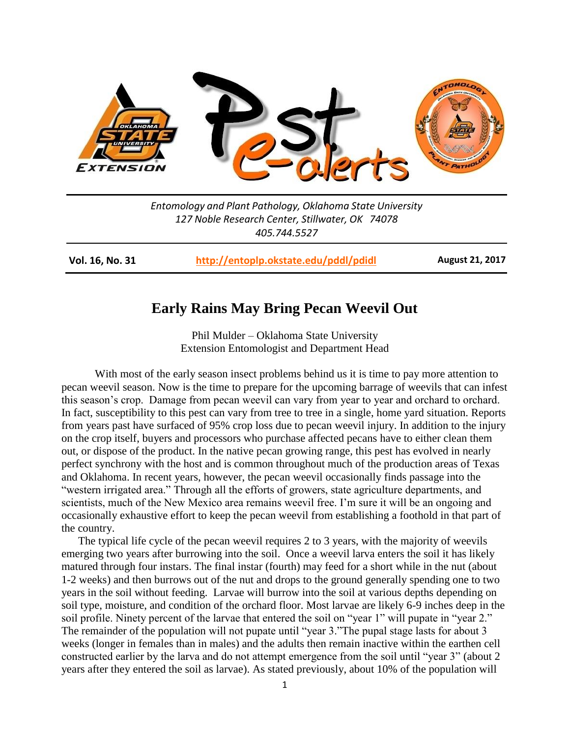

*Entomology and Plant Pathology, Oklahoma State University 127 Noble Research Center, Stillwater, OK 74078 405.744.5527*

**Vol. 16, No. 31 <http://entoplp.okstate.edu/pddl/pdidl> August 21, 2017**

## **Early Rains May Bring Pecan Weevil Out**

Phil Mulder – Oklahoma State University Extension Entomologist and Department Head

With most of the early season insect problems behind us it is time to pay more attention to pecan weevil season. Now is the time to prepare for the upcoming barrage of weevils that can infest this season's crop. Damage from pecan weevil can vary from year to year and orchard to orchard. In fact, susceptibility to this pest can vary from tree to tree in a single, home yard situation. Reports from years past have surfaced of 95% crop loss due to pecan weevil injury. In addition to the injury on the crop itself, buyers and processors who purchase affected pecans have to either clean them out, or dispose of the product. In the native pecan growing range, this pest has evolved in nearly perfect synchrony with the host and is common throughout much of the production areas of Texas and Oklahoma. In recent years, however, the pecan weevil occasionally finds passage into the "western irrigated area." Through all the efforts of growers, state agriculture departments, and scientists, much of the New Mexico area remains weevil free. I'm sure it will be an ongoing and occasionally exhaustive effort to keep the pecan weevil from establishing a foothold in that part of the country.

The typical life cycle of the pecan weevil requires 2 to 3 years, with the majority of weevils emerging two years after burrowing into the soil. Once a weevil larva enters the soil it has likely matured through four instars. The final instar (fourth) may feed for a short while in the nut (about 1-2 weeks) and then burrows out of the nut and drops to the ground generally spending one to two years in the soil without feeding. Larvae will burrow into the soil at various depths depending on soil type, moisture, and condition of the orchard floor. Most larvae are likely 6-9 inches deep in the soil profile. Ninety percent of the larvae that entered the soil on "year 1" will pupate in "year 2." The remainder of the population will not pupate until "year 3."The pupal stage lasts for about 3 weeks (longer in females than in males) and the adults then remain inactive within the earthen cell constructed earlier by the larva and do not attempt emergence from the soil until "year 3" (about 2 years after they entered the soil as larvae). As stated previously, about 10% of the population will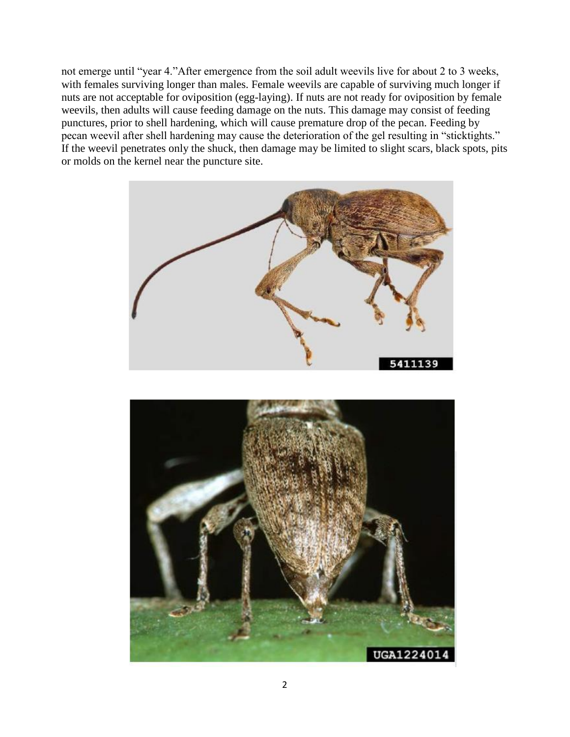not emerge until "year 4."After emergence from the soil adult weevils live for about 2 to 3 weeks, with females surviving longer than males. Female weevils are capable of surviving much longer if nuts are not acceptable for oviposition (egg-laying). If nuts are not ready for oviposition by female weevils, then adults will cause feeding damage on the nuts. This damage may consist of feeding punctures, prior to shell hardening, which will cause premature drop of the pecan. Feeding by pecan weevil after shell hardening may cause the deterioration of the gel resulting in "sticktights." If the weevil penetrates only the shuck, then damage may be limited to slight scars, black spots, pits or molds on the kernel near the puncture site.



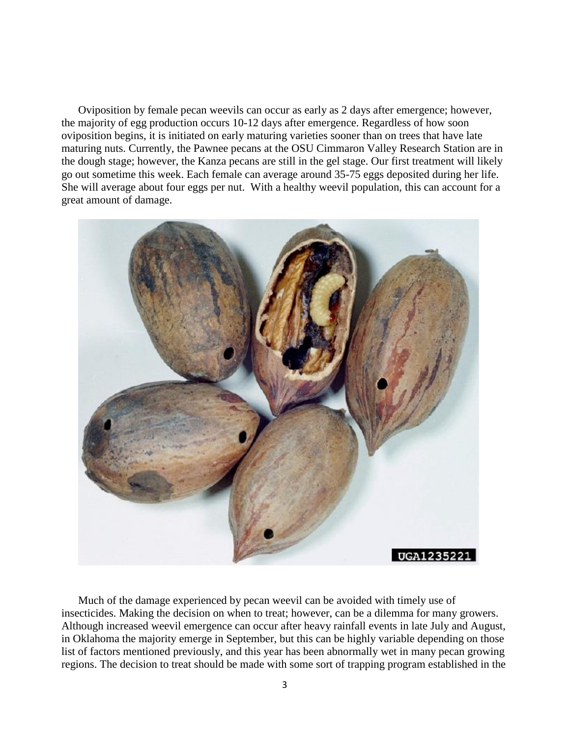Oviposition by female pecan weevils can occur as early as 2 days after emergence; however, the majority of egg production occurs 10-12 days after emergence. Regardless of how soon oviposition begins, it is initiated on early maturing varieties sooner than on trees that have late maturing nuts. Currently, the Pawnee pecans at the OSU Cimmaron Valley Research Station are in the dough stage; however, the Kanza pecans are still in the gel stage. Our first treatment will likely go out sometime this week. Each female can average around 35-75 eggs deposited during her life. She will average about four eggs per nut. With a healthy weevil population, this can account for a great amount of damage.



Much of the damage experienced by pecan weevil can be avoided with timely use of insecticides. Making the decision on when to treat; however, can be a dilemma for many growers. Although increased weevil emergence can occur after heavy rainfall events in late July and August, in Oklahoma the majority emerge in September, but this can be highly variable depending on those list of factors mentioned previously, and this year has been abnormally wet in many pecan growing regions. The decision to treat should be made with some sort of trapping program established in the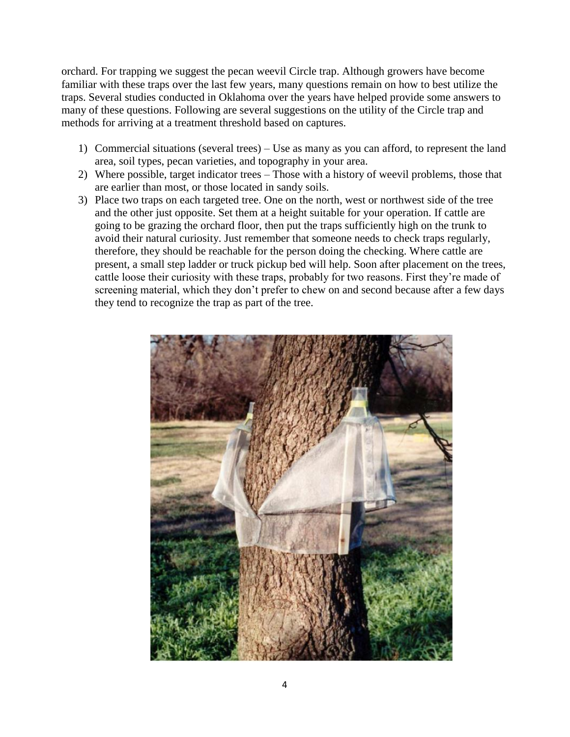orchard. For trapping we suggest the pecan weevil Circle trap. Although growers have become familiar with these traps over the last few years, many questions remain on how to best utilize the traps. Several studies conducted in Oklahoma over the years have helped provide some answers to many of these questions. Following are several suggestions on the utility of the Circle trap and methods for arriving at a treatment threshold based on captures.

- 1) Commercial situations (several trees) Use as many as you can afford, to represent the land area, soil types, pecan varieties, and topography in your area.
- 2) Where possible, target indicator trees Those with a history of weevil problems, those that are earlier than most, or those located in sandy soils.
- 3) Place two traps on each targeted tree. One on the north, west or northwest side of the tree and the other just opposite. Set them at a height suitable for your operation. If cattle are going to be grazing the orchard floor, then put the traps sufficiently high on the trunk to avoid their natural curiosity. Just remember that someone needs to check traps regularly, therefore, they should be reachable for the person doing the checking. Where cattle are present, a small step ladder or truck pickup bed will help. Soon after placement on the trees, cattle loose their curiosity with these traps, probably for two reasons. First they're made of screening material, which they don't prefer to chew on and second because after a few days they tend to recognize the trap as part of the tree.

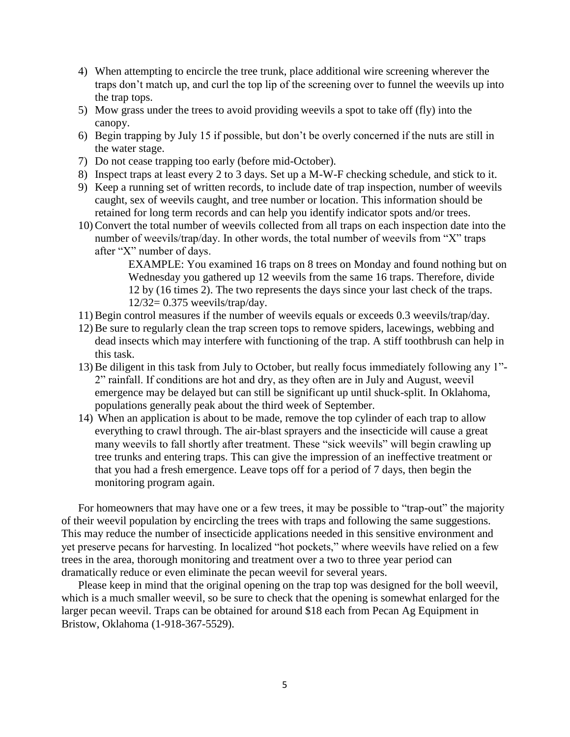- 4) When attempting to encircle the tree trunk, place additional wire screening wherever the traps don't match up, and curl the top lip of the screening over to funnel the weevils up into the trap tops.
- 5) Mow grass under the trees to avoid providing weevils a spot to take off (fly) into the canopy.
- 6) Begin trapping by July 15 if possible, but don't be overly concerned if the nuts are still in the water stage.
- 7) Do not cease trapping too early (before mid-October).
- 8) Inspect traps at least every 2 to 3 days. Set up a M-W-F checking schedule, and stick to it.
- 9) Keep a running set of written records, to include date of trap inspection, number of weevils caught, sex of weevils caught, and tree number or location. This information should be retained for long term records and can help you identify indicator spots and/or trees.
- 10)Convert the total number of weevils collected from all traps on each inspection date into the number of weevils/trap/day. In other words, the total number of weevils from "X" traps after "X" number of days.

EXAMPLE: You examined 16 traps on 8 trees on Monday and found nothing but on Wednesday you gathered up 12 weevils from the same 16 traps. Therefore, divide 12 by (16 times 2). The two represents the days since your last check of the traps. 12/32= 0.375 weevils/trap/day.

- 11)Begin control measures if the number of weevils equals or exceeds 0.3 weevils/trap/day.
- 12)Be sure to regularly clean the trap screen tops to remove spiders, lacewings, webbing and dead insects which may interfere with functioning of the trap. A stiff toothbrush can help in this task.
- 13)Be diligent in this task from July to October, but really focus immediately following any 1"- 2" rainfall. If conditions are hot and dry, as they often are in July and August, weevil emergence may be delayed but can still be significant up until shuck-split. In Oklahoma, populations generally peak about the third week of September.
- 14) When an application is about to be made, remove the top cylinder of each trap to allow everything to crawl through. The air-blast sprayers and the insecticide will cause a great many weevils to fall shortly after treatment. These "sick weevils" will begin crawling up tree trunks and entering traps. This can give the impression of an ineffective treatment or that you had a fresh emergence. Leave tops off for a period of 7 days, then begin the monitoring program again.

For homeowners that may have one or a few trees, it may be possible to "trap-out" the majority of their weevil population by encircling the trees with traps and following the same suggestions. This may reduce the number of insecticide applications needed in this sensitive environment and yet preserve pecans for harvesting. In localized "hot pockets," where weevils have relied on a few trees in the area, thorough monitoring and treatment over a two to three year period can dramatically reduce or even eliminate the pecan weevil for several years.

Please keep in mind that the original opening on the trap top was designed for the boll weevil, which is a much smaller weevil, so be sure to check that the opening is somewhat enlarged for the larger pecan weevil. Traps can be obtained for around \$18 each from Pecan Ag Equipment in Bristow, Oklahoma (1-918-367-5529).